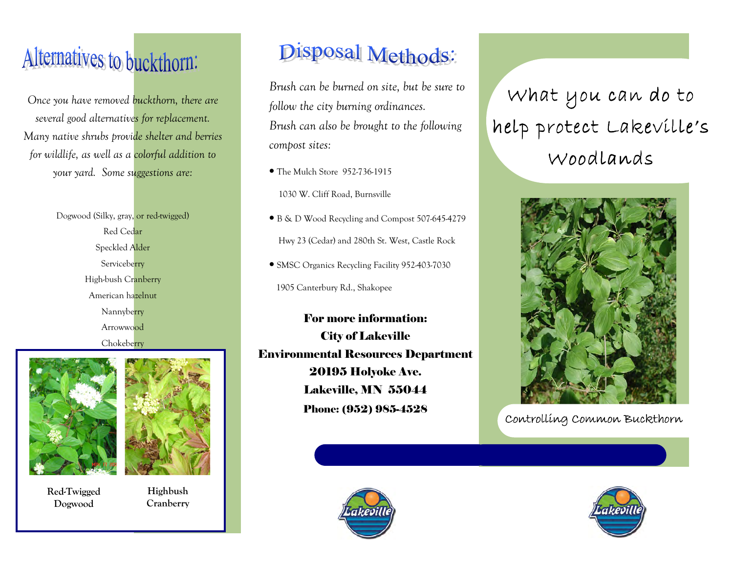## Alternatives to buckthorn:

Once you have removed buckthorn, there are several good alternatives for replacement. Many native shrubs provide shelter and berries for wildlife, as well as a colorful addition to your yard. Some suggestions are:

> Dogwood (Silky, gray, or red-twigged) Red Cedar Speckled Alder Serviceberry High-bush Cranberry American hazelnut Nannyberry Arrowwood **Chokeberry**





Red-Twigged Dogwood

Highbush **Cranberry** 

## Disposal Methods:

Brush can be burned on site, but be sure to follow the city burning ordinances. Brush can also be brought to the following compost sites:

• The Mulch Store 952-736-1915

1030 W. Cliff Road, Burnsville

• B & D Wood Recycling and Compost 507-645-4279

Hwy 23 (Cedar) and 280th St. West, Castle Rock

• SMSC Organics Recycling Facility 952-403-7030

1905 Canterbury Rd., Shakopee

Phone: (952) 985-4528For more information: City of Lakeville Environmental Resources Department 20195 Holyoke Ave. Lakeville, MN 55044



## What you can do to help protect Lakeville's Woodlands



Controlling Common Buckthorn